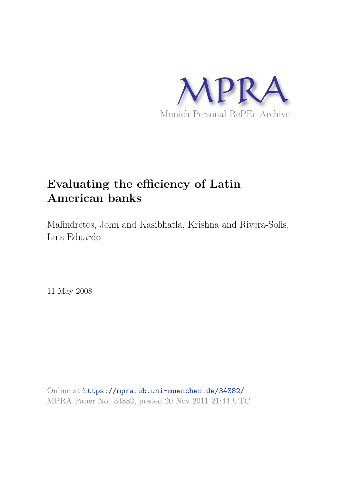

# **Evaluating the efficiency of Latin American banks**

Malindretos, John and Kasibhatla, Krishna and Rivera-Solis, Luis Eduardo

11 May 2008

Online at https://mpra.ub.uni-muenchen.de/34882/ MPRA Paper No. 34882, posted 20 Nov 2011 21:44 UTC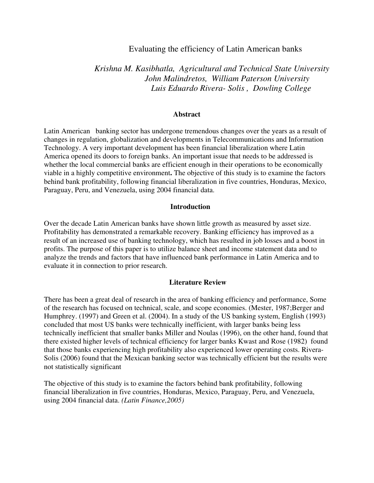# Evaluating the efficiency of Latin American banks

# *Krishna M. Kasibhatla, Agricultural and Technical State University John Malindretos, William Paterson University Luis Eduardo Rivera- Solis , Dowling College*

#### **Abstract**

Latin American banking sector has undergone tremendous changes over the years as a result of changes in regulation, globalization and developments in Telecommunications and Information Technology. A very important development has been financial liberalization where Latin America opened its doors to foreign banks. An important issue that needs to be addressed is whether the local commercial banks are efficient enough in their operations to be economically viable in a highly competitive environment**.** The objective of this study is to examine the factors behind bank profitability, following financial liberalization in five countries, Honduras, Mexico, Paraguay, Peru, and Venezuela, using 2004 financial data.

## **Introduction**

Over the decade Latin American banks have shown little growth as measured by asset size. Profitability has demonstrated a remarkable recovery. Banking efficiency has improved as a result of an increased use of banking technology, which has resulted in job losses and a boost in profits. The purpose of this paper is to utilize balance sheet and income statement data and to analyze the trends and factors that have influenced bank performance in Latin America and to evaluate it in connection to prior research.

## **Literature Review**

There has been a great deal of research in the area of banking efficiency and performance, Some of the research has focused on technical, scale, and scope economies. (Mester, 1987;Berger and Humphrey. (1997) and Green et al. (2004). In a study of the US banking system, English (1993) concluded that most US banks were technically inefficient, with larger banks being less technically inefficient that smaller banks Miller and Noulas (1996), on the other hand, found that there existed higher levels of technical efficiency for larger banks Kwast and Rose (1982) found that those banks experiencing high profitability also experienced lower operating costs. Rivera-Solis (2006) found that the Mexican banking sector was technically efficient but the results were not statistically significant

The objective of this study is to examine the factors behind bank profitability, following financial liberalization in five countries, Honduras, Mexico, Paraguay, Peru, and Venezuela, using 2004 financial data. *(Latin Finance,2005)*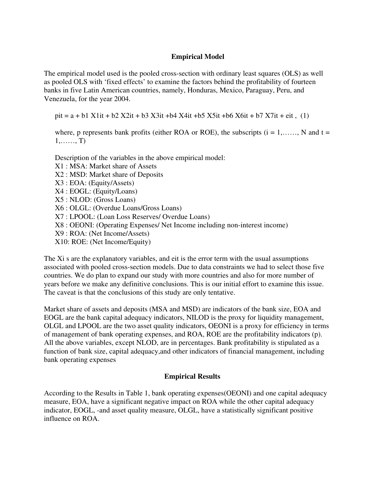# **Empirical Model**

The empirical model used is the pooled cross-section with ordinary least squares (OLS) as well as pooled OLS with 'fixed effects' to examine the factors behind the profitability of fourteen banks in five Latin American countries, namely, Honduras, Mexico, Paraguay, Peru, and Venezuela, for the year 2004.

 $pit = a + b1 X1it + b2 X2it + b3 X3it +b4 X4it +b5 X5it +b6 X6it + b7 X7it + eit, (1)$ 

where, p represents bank profits (either ROA or ROE), the subscripts  $(i = 1, \ldots, N$  and  $t =$ 1,……, T)

Description of the variables in the above empirical model: X1 : MSA: Market share of Assets X2 : MSD: Market share of Deposits X3 : EOA: (Equity/Assets) X4 : EOGL: (Equity/Loans) X5 : NLOD: (Gross Loans) X6 : OLGL: (Overdue Loans/Gross Loans) X7 : LPOOL: (Loan Loss Reserves/ Overdue Loans) X8 : OEONI: (Operating Expenses/ Net Income including non-interest income) X9 : ROA: (Net Income/Assets) X10: ROE: (Net Income/Equity)

The Xi s are the explanatory variables, and eit is the error term with the usual assumptions associated with pooled cross-section models. Due to data constraints we had to select those five countries. We do plan to expand our study with more countries and also for more number of years before we make any definitive conclusions. This is our initial effort to examine this issue. The caveat is that the conclusions of this study are only tentative.

Market share of assets and deposits (MSA and MSD) are indicators of the bank size, EOA and EOGL are the bank capital adequacy indicators, NILOD is the proxy for liquidity management, OLGL and LPOOL are the two asset quality indicators, OEONI is a proxy for efficiency in terms of management of bank operating expenses, and ROA, ROE are the profitability indicators (p). All the above variables, except NLOD, are in percentages. Bank profitability is stipulated as a function of bank size, capital adequacy,and other indicators of financial management, including bank operating expenses

## **Empirical Results**

According to the Results in Table 1, bank operating expenses(OEONI) and one capital adequacy measure, EOA, have a significant negative impact on ROA while the other capital adequacy indicator, EOGL, -and asset quality measure, OLGL, have a statistically significant positive influence on ROA.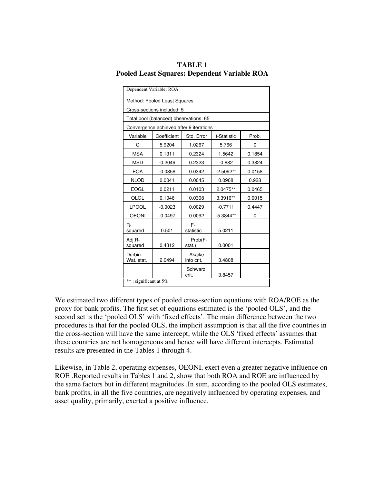| <b>TABLE 1</b>                               |
|----------------------------------------------|
| Pooled Least Squares: Dependent Variable ROA |

|                       | Dependent Variable: ROA                 |                      |             |        |
|-----------------------|-----------------------------------------|----------------------|-------------|--------|
|                       | Method: Pooled Least Squares            |                      |             |        |
|                       | Cross-sections included: 5              |                      |             |        |
|                       | Total pool (balanced) observations: 65  |                      |             |        |
|                       | Convergence achieved after 9 iterations |                      |             |        |
| Variable              | Coefficient                             | Std. Error           | t-Statistic | Prob.  |
| С                     | 5.9204                                  | 1.0267               | 5.766       | 0      |
| <b>MSA</b>            | 0.1311                                  | 0.2324               | 1.5642      | 0.1854 |
| <b>MSD</b>            | $-0.2049$                               | 0.2323               | $-0.882$    | 0.3824 |
| <b>EOA</b>            | $-0.0858$                               | 0.0342               | $-2.5092**$ | 0.0158 |
| <b>NLOD</b>           | 0.0041                                  | 0.0045               | 0.0908      | 0.928  |
| <b>EOGL</b>           | 0.0211                                  | 0.0103               | 2.0475**    | 0.0465 |
| OLGL                  | 0.1046                                  | 0.0308               | 3.3916**    | 0.0015 |
| <b>LPOOL</b>          | $-0.0023$                               | 0.0029               | $-0.7711$   | 0.4447 |
| <b>OEONI</b>          | $-0.0497$                               | 0.0092               | $-5.3844**$ | 0      |
| $R -$<br>squared      | 0.501                                   | F-<br>statistic      | 5.0211      |        |
| Adj.R-<br>squared     | 0.4312                                  | Prob(F-<br>stat.)    | 0.0001      |        |
| Durbin-<br>Wat. stat. | 2.0494                                  | Akaike<br>info crit. | 3.4808      |        |
|                       |                                         | Schwarz<br>crit.     | 3.8457      |        |
| **: significant at 5% |                                         |                      |             |        |

We estimated two different types of pooled cross-section equations with ROA/ROE as the proxy for bank profits. The first set of equations estimated is the 'pooled OLS', and the second set is the 'pooled OLS' with 'fixed effects'. The main difference between the two procedures is that for the pooled OLS, the implicit assumption is that all the five countries in the cross-section will have the same intercept, while the OLS 'fixed effects' assumes that these countries are not homogeneous and hence will have different intercepts. Estimated results are presented in the Tables 1 through 4.

Likewise, in Table 2, operating expenses, OEONI, exert even a greater negative influence on ROE .Reported results in Tables 1 and 2, show that both ROA and ROE are influenced by the same factors but in different magnitudes .In sum, according to the pooled OLS estimates, bank profits, in all the five countries, are negatively influenced by operating expenses, and asset quality, primarily, exerted a positive influence.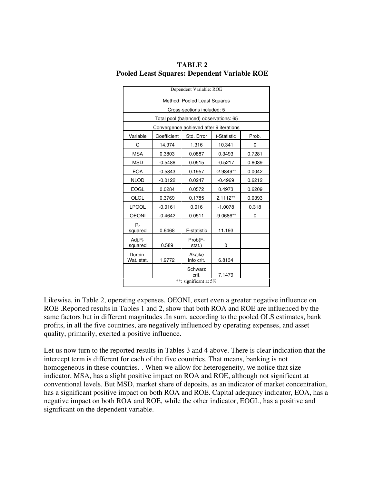| Dependent Variable: ROE      |                            |                                         |             |        |
|------------------------------|----------------------------|-----------------------------------------|-------------|--------|
| Method: Pooled Least Squares |                            |                                         |             |        |
|                              | Cross-sections included: 5 |                                         |             |        |
|                              |                            | Total pool (balanced) observations: 65  |             |        |
|                              |                            | Convergence achieved after 9 iterations |             |        |
| Variable                     | Coefficient                | Std. Error                              | t-Statistic | Prob.  |
| С                            | 14.974                     | 1.316                                   | 10.341      | 0      |
| <b>MSA</b>                   | 0.3803                     | 0.0887                                  | 0.3493      | 0.7281 |
| <b>MSD</b>                   | $-0.5486$                  | 0.0515                                  | $-0.5217$   | 0.6039 |
| <b>EOA</b>                   | $-0.5843$                  | 0.1957                                  | $-2.9849**$ | 0.0042 |
| <b>NLOD</b>                  | $-0.0122$                  | 0.0247                                  | $-0.4969$   | 0.6212 |
| <b>EOGL</b>                  | 0.0284                     | 0.0572                                  | 0.4973      | 0.6209 |
| <b>OLGL</b>                  | 0.3769                     | 0.1785                                  | 2.1112**    | 0.0393 |
| <b>LPOOL</b>                 | $-0.0161$                  | 0.016                                   | $-1.0078$   | 0.318  |
| <b>OEONI</b>                 | $-0.4642$                  | 0.0511                                  | $-9.0686**$ | 0      |
| $R -$<br>squared             | 0.6468                     | F-statistic                             | 11.193      |        |
| Adj.R-<br>squared            | 0.589                      | Prob(F-<br>stat.)                       | 0           |        |
| Durbin-<br>Wat. stat.        | 1.9772                     | Akaike<br>info crit.                    | 6.8134      |        |
|                              |                            | Schwarz<br>crit.                        | 7.1479      |        |
| **: significant at 5%        |                            |                                         |             |        |

**TABLE 2 Pooled Least Squares: Dependent Variable ROE** 

Likewise, in Table 2, operating expenses, OEONI, exert even a greater negative influence on ROE .Reported results in Tables 1 and 2, show that both ROA and ROE are influenced by the same factors but in different magnitudes .In sum, according to the pooled OLS estimates, bank profits, in all the five countries, are negatively influenced by operating expenses, and asset quality, primarily, exerted a positive influence.

Let us now turn to the reported results in Tables 3 and 4 above. There is clear indication that the intercept term is different for each of the five countries. That means, banking is not homogeneous in these countries. . When we allow for heterogeneity, we notice that size indicator, MSA, has a slight positive impact on ROA and ROE, although not significant at conventional levels. But MSD, market share of deposits, as an indicator of market concentration, has a significant positive impact on both ROA and ROE. Capital adequacy indicator, EOA, has a negative impact on both ROA and ROE, while the other indicator, EOGL, has a positive and significant on the dependent variable.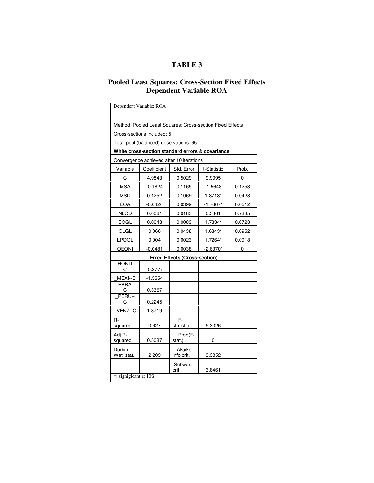# **TABLE 3**

## **Pooled Least Squares: Cross-Section Fixed Effects Dependent Variable ROA**

|                                                           | Dependent Variable: ROA                          |                      |             |        |
|-----------------------------------------------------------|--------------------------------------------------|----------------------|-------------|--------|
| Method: Pooled Least Squares: Cross-section Fixed Effects |                                                  |                      |             |        |
|                                                           | Cross-sections included: 5                       |                      |             |        |
|                                                           | Total pool (balanced) observations: 65           |                      |             |        |
|                                                           | White cross-section standard errors & covariance |                      |             |        |
|                                                           | Convergence achieved after 10 iterations         |                      |             |        |
| Variable                                                  | Coefficient                                      | Std. Error           | t-Statistic | Prob.  |
| C                                                         | 4.9843                                           | 0.5029               | 9.9095      | 0      |
| MSA                                                       | -0.1824                                          | 0.1165               | $-1.5648$   | 0.1253 |
| <b>MSD</b>                                                | 0.1252                                           | 0.1069               | 1.8713*     | 0.0428 |
| <b>EOA</b>                                                | $-0.0426$                                        | 0.0399               | $-1.7667*$  | 0.0512 |
| <b>NLOD</b>                                               | 0.0061                                           | 0.0183               | 0.3361      | 0.7385 |
| <b>EOGL</b>                                               | 0.0048                                           | 0.0083               | 1.7834*     | 0.0728 |
| OLGL                                                      | 0.066                                            | 0.0438               | 1.6843*     | 0.0952 |
| <b>LPOOL</b>                                              | 0.004                                            | 0.0023               | 1.7264*     | 0.0918 |
| <b>OEONI</b>                                              | $-0.0481$                                        | 0.0038               | $-2.6370*$  | 0      |
| <b>Fixed Effects (Cross-section)</b>                      |                                                  |                      |             |        |
| HOND--<br>C                                               | $-0.3777$                                        |                      |             |        |
| MEXI--C                                                   | $-1.5554$                                        |                      |             |        |
| PARA--<br>С                                               | 0.3367                                           |                      |             |        |
| PERU--<br>С                                               | 0.2245                                           |                      |             |        |
| VENZ--C                                                   | 1.3719                                           |                      |             |        |
| R-<br>squared                                             | 0.627                                            | F-<br>statistic      | 5.3026      |        |
| Adj.R-<br>squared                                         | 0.5087                                           | Prob(F-<br>stat.)    | 0           |        |
| Durbin-<br>Wat. stat.                                     | 2.209                                            | Akaike<br>info crit. | 3.3352      |        |
|                                                           |                                                  | Schwarz<br>crit.     | 3.8461      |        |
| *: signigicant at 10%                                     |                                                  |                      |             |        |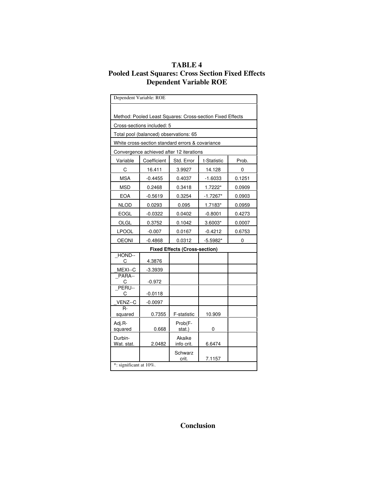# **TABLE 4 Pooled Least Squares: Cross Section Fixed Effects Dependent Variable ROE**

|                                      | Dependent Variable: ROE                                   |                      |             |        |
|--------------------------------------|-----------------------------------------------------------|----------------------|-------------|--------|
|                                      |                                                           |                      |             |        |
|                                      | Method: Pooled Least Squares: Cross-section Fixed Effects |                      |             |        |
|                                      | Cross-sections included: 5                                |                      |             |        |
|                                      | Total pool (balanced) observations: 65                    |                      |             |        |
|                                      | White cross-section standard errors & covariance          |                      |             |        |
|                                      | Convergence achieved after 12 iterations                  |                      |             |        |
| Variable                             | Coefficient                                               | Std. Error           | t-Statistic | Prob.  |
| C                                    | 16.411                                                    | 3.9927               | 14.128      | 0      |
| <b>MSA</b>                           | $-0.4455$                                                 | 0.4037               | $-1.6033$   | 0.1251 |
| <b>MSD</b>                           | 0.2468                                                    | 0.3418               | 1.7222*     | 0.0909 |
| <b>EOA</b>                           | $-0.5619$                                                 | 0.3254               | -1.7267*    | 0.0903 |
| <b>NLOD</b>                          | 0.0293                                                    | 0.095                | 1.7183*     | 0.0959 |
| <b>EOGL</b>                          | $-0.0322$                                                 | 0.0402               | $-0.8001$   | 0.4273 |
| OLGL                                 | 0.3752                                                    | 0.1042               | 3.6003*     | 0.0007 |
| <b>LPOOL</b>                         | $-0.007$                                                  | 0.0167               | $-0.4212$   | 0.6753 |
| <b>OEONI</b>                         | $-0.4868$                                                 | 0.0312               | $-5.5982*$  | 0      |
| <b>Fixed Effects (Cross-section)</b> |                                                           |                      |             |        |
| HOND--<br>C                          | 4.3876                                                    |                      |             |        |
| MEXI--C                              | $-3.3939$                                                 |                      |             |        |
| PARA--<br>С                          | $-0.972$                                                  |                      |             |        |
| PERU--<br>С                          | $-0.0118$                                                 |                      |             |        |
| VENZ--C                              | $-0.0097$                                                 |                      |             |        |
| $R -$<br>squared                     | 0.7355                                                    | F-statistic          | 10.909      |        |
| Adj.R-<br>squared                    | 0.668                                                     | Prob(F-<br>stat.)    | 0           |        |
| Durbin-<br>Wat. stat.                | 2.0482                                                    | Akaike<br>info crit. | 6.6474      |        |
|                                      |                                                           | Schwarz<br>crit.     | 7.1157      |        |
| *: significant at 10%.               |                                                           |                      |             |        |

**Conclusion**